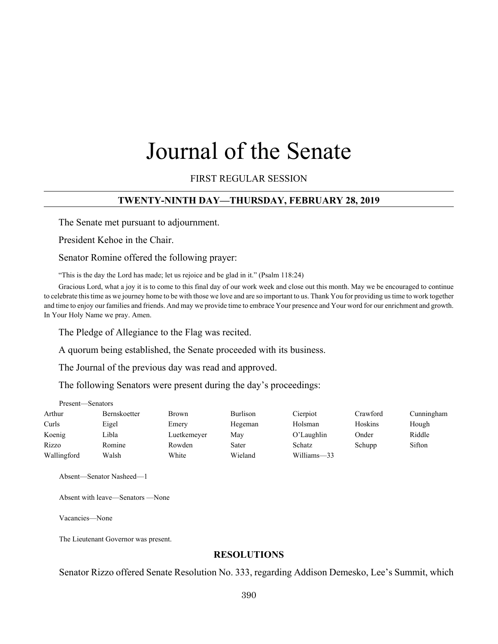# Journal of the Senate

FIRST REGULAR SESSION

## **TWENTY-NINTH DAY—THURSDAY, FEBRUARY 28, 2019**

The Senate met pursuant to adjournment.

President Kehoe in the Chair.

Senator Romine offered the following prayer:

"This is the day the Lord has made; let us rejoice and be glad in it." (Psalm 118:24)

Gracious Lord, what a joy it is to come to this final day of our work week and close out this month. May we be encouraged to continue to celebrate this time as we journey home to be with those we love and are so important to us. Thank You for providing us time to work together and time to enjoy our families and friends. And may we provide time to embrace Your presence and Your word for our enrichment and growth. In Your Holy Name we pray. Amen.

The Pledge of Allegiance to the Flag was recited.

A quorum being established, the Senate proceeded with its business.

The Journal of the previous day was read and approved.

The following Senators were present during the day's proceedings:

| Present—Senators |                     |              |                 |               |          |            |
|------------------|---------------------|--------------|-----------------|---------------|----------|------------|
| Arthur           | <b>Bernskoetter</b> | <b>Brown</b> | <b>Burlison</b> | Cierpiot      | Crawford | Cunningham |
| Curls            | Eigel               | Emery        | Hegeman         | Holsman       | Hoskins  | Hough      |
| Koenig           | Libla               | Luetkemeyer  | May             | $O'$ Laughlin | Onder    | Riddle     |
| Rizzo            | Romine              | Rowden       | Sater           | <b>Schatz</b> | Schupp   | Sifton     |
| Wallingford      | Walsh               | White        | Wieland         | Williams-33   |          |            |

Absent—Senator Nasheed—1

Absent with leave—Senators —None

Vacancies—None

The Lieutenant Governor was present.

## **RESOLUTIONS**

Senator Rizzo offered Senate Resolution No. 333, regarding Addison Demesko, Lee's Summit, which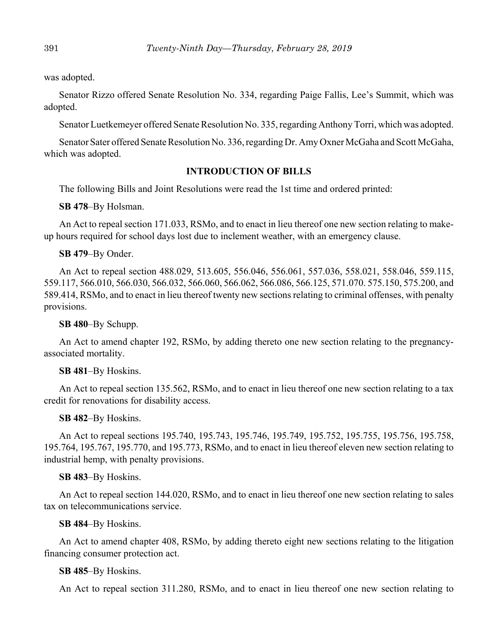was adopted.

Senator Rizzo offered Senate Resolution No. 334, regarding Paige Fallis, Lee's Summit, which was adopted.

Senator Luetkemeyer offered Senate Resolution No. 335, regarding Anthony Torri, which was adopted.

Senator Sater offered Senate Resolution No. 336, regarding Dr. Amy Oxner McGaha and Scott McGaha, which was adopted.

## **INTRODUCTION OF BILLS**

The following Bills and Joint Resolutions were read the 1st time and ordered printed:

**SB 478**–By Holsman.

An Act to repeal section 171.033, RSMo, and to enact in lieu thereof one new section relating to makeup hours required for school days lost due to inclement weather, with an emergency clause.

#### **SB 479**–By Onder.

An Act to repeal section 488.029, 513.605, 556.046, 556.061, 557.036, 558.021, 558.046, 559.115, 559.117, 566.010, 566.030, 566.032, 566.060, 566.062, 566.086, 566.125, 571.070. 575.150, 575.200, and 589.414, RSMo, and to enact in lieu thereof twenty new sections relating to criminal offenses, with penalty provisions.

#### **SB 480**–By Schupp.

An Act to amend chapter 192, RSMo, by adding thereto one new section relating to the pregnancyassociated mortality.

#### **SB 481**–By Hoskins.

An Act to repeal section 135.562, RSMo, and to enact in lieu thereof one new section relating to a tax credit for renovations for disability access.

#### **SB 482**–By Hoskins.

An Act to repeal sections 195.740, 195.743, 195.746, 195.749, 195.752, 195.755, 195.756, 195.758, 195.764, 195.767, 195.770, and 195.773, RSMo, and to enact in lieu thereof eleven new section relating to industrial hemp, with penalty provisions.

#### **SB 483**–By Hoskins.

An Act to repeal section 144.020, RSMo, and to enact in lieu thereof one new section relating to sales tax on telecommunications service.

#### **SB 484**–By Hoskins.

An Act to amend chapter 408, RSMo, by adding thereto eight new sections relating to the litigation financing consumer protection act.

#### **SB 485**–By Hoskins.

An Act to repeal section 311.280, RSMo, and to enact in lieu thereof one new section relating to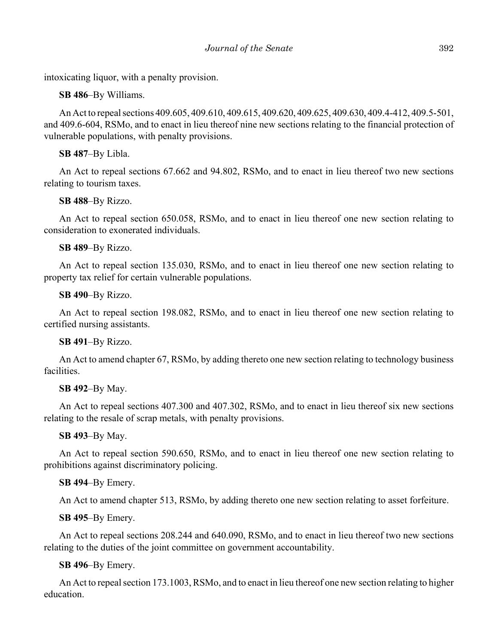intoxicating liquor, with a penalty provision.

## **SB 486**–By Williams.

An Act to repeal sections 409.605, 409.610, 409.615, 409.620, 409.625, 409.630, 409.4-412, 409.5-501, and 409.6-604, RSMo, and to enact in lieu thereof nine new sections relating to the financial protection of vulnerable populations, with penalty provisions.

# **SB 487**–By Libla.

An Act to repeal sections 67.662 and 94.802, RSMo, and to enact in lieu thereof two new sections relating to tourism taxes.

# **SB 488**–By Rizzo.

An Act to repeal section 650.058, RSMo, and to enact in lieu thereof one new section relating to consideration to exonerated individuals.

# **SB 489**–By Rizzo.

An Act to repeal section 135.030, RSMo, and to enact in lieu thereof one new section relating to property tax relief for certain vulnerable populations.

# **SB 490**–By Rizzo.

An Act to repeal section 198.082, RSMo, and to enact in lieu thereof one new section relating to certified nursing assistants.

# **SB 491**–By Rizzo.

An Act to amend chapter 67, RSMo, by adding thereto one new section relating to technology business facilities.

# **SB 492**–By May.

An Act to repeal sections 407.300 and 407.302, RSMo, and to enact in lieu thereof six new sections relating to the resale of scrap metals, with penalty provisions.

# **SB 493**–By May.

An Act to repeal section 590.650, RSMo, and to enact in lieu thereof one new section relating to prohibitions against discriminatory policing.

# **SB 494**–By Emery.

An Act to amend chapter 513, RSMo, by adding thereto one new section relating to asset forfeiture.

## **SB 495**–By Emery.

An Act to repeal sections 208.244 and 640.090, RSMo, and to enact in lieu thereof two new sections relating to the duties of the joint committee on government accountability.

# **SB 496**–By Emery.

An Act to repeal section 173.1003, RSMo, and to enact in lieu thereof one new section relating to higher education.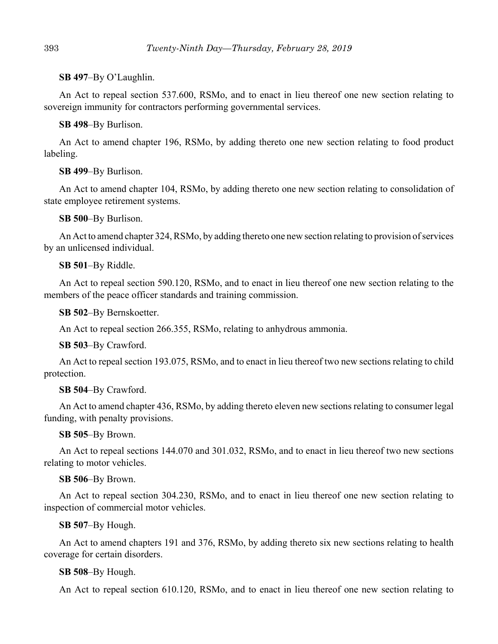## **SB 497**–By O'Laughlin.

An Act to repeal section 537.600, RSMo, and to enact in lieu thereof one new section relating to sovereign immunity for contractors performing governmental services.

## **SB 498**–By Burlison.

An Act to amend chapter 196, RSMo, by adding thereto one new section relating to food product labeling.

## **SB 499**–By Burlison.

An Act to amend chapter 104, RSMo, by adding thereto one new section relating to consolidation of state employee retirement systems.

**SB 500**–By Burlison.

An Act to amend chapter 324, RSMo, by adding thereto one new section relating to provision of services by an unlicensed individual.

## **SB 501**–By Riddle.

An Act to repeal section 590.120, RSMo, and to enact in lieu thereof one new section relating to the members of the peace officer standards and training commission.

**SB 502**–By Bernskoetter.

An Act to repeal section 266.355, RSMo, relating to anhydrous ammonia.

**SB 503**–By Crawford.

An Act to repeal section 193.075, RSMo, and to enact in lieu thereof two new sections relating to child protection.

#### **SB 504**–By Crawford.

An Act to amend chapter 436, RSMo, by adding thereto eleven new sections relating to consumer legal funding, with penalty provisions.

#### **SB 505**–By Brown.

An Act to repeal sections 144.070 and 301.032, RSMo, and to enact in lieu thereof two new sections relating to motor vehicles.

#### **SB 506**–By Brown.

An Act to repeal section 304.230, RSMo, and to enact in lieu thereof one new section relating to inspection of commercial motor vehicles.

#### **SB 507**–By Hough.

An Act to amend chapters 191 and 376, RSMo, by adding thereto six new sections relating to health coverage for certain disorders.

#### **SB 508**–By Hough.

An Act to repeal section 610.120, RSMo, and to enact in lieu thereof one new section relating to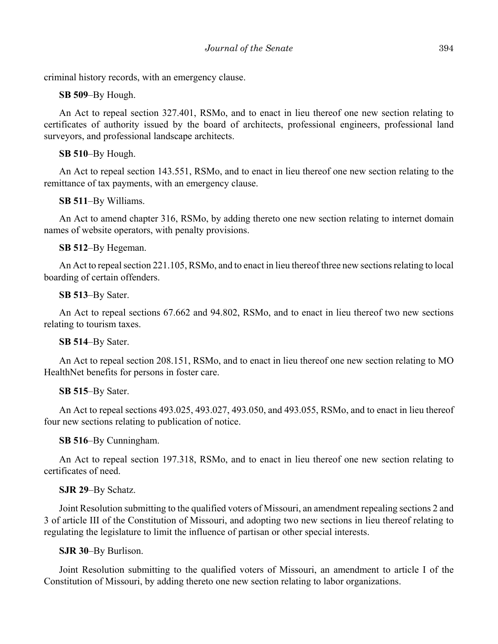criminal history records, with an emergency clause.

**SB 509**–By Hough.

An Act to repeal section 327.401, RSMo, and to enact in lieu thereof one new section relating to certificates of authority issued by the board of architects, professional engineers, professional land surveyors, and professional landscape architects.

## **SB 510**–By Hough.

An Act to repeal section 143.551, RSMo, and to enact in lieu thereof one new section relating to the remittance of tax payments, with an emergency clause.

## **SB 511**–By Williams.

An Act to amend chapter 316, RSMo, by adding thereto one new section relating to internet domain names of website operators, with penalty provisions.

## **SB 512**–By Hegeman.

An Act to repeal section 221.105, RSMo, and to enact in lieu thereof three new sections relating to local boarding of certain offenders.

#### **SB 513**–By Sater.

An Act to repeal sections 67.662 and 94.802, RSMo, and to enact in lieu thereof two new sections relating to tourism taxes.

#### **SB 514**–By Sater.

An Act to repeal section 208.151, RSMo, and to enact in lieu thereof one new section relating to MO HealthNet benefits for persons in foster care.

#### **SB 515**–By Sater.

An Act to repeal sections 493.025, 493.027, 493.050, and 493.055, RSMo, and to enact in lieu thereof four new sections relating to publication of notice.

**SB 516**–By Cunningham.

An Act to repeal section 197.318, RSMo, and to enact in lieu thereof one new section relating to certificates of need.

#### **SJR 29**–By Schatz.

Joint Resolution submitting to the qualified voters of Missouri, an amendment repealing sections 2 and 3 of article III of the Constitution of Missouri, and adopting two new sections in lieu thereof relating to regulating the legislature to limit the influence of partisan or other special interests.

#### **SJR 30**–By Burlison.

Joint Resolution submitting to the qualified voters of Missouri, an amendment to article I of the Constitution of Missouri, by adding thereto one new section relating to labor organizations.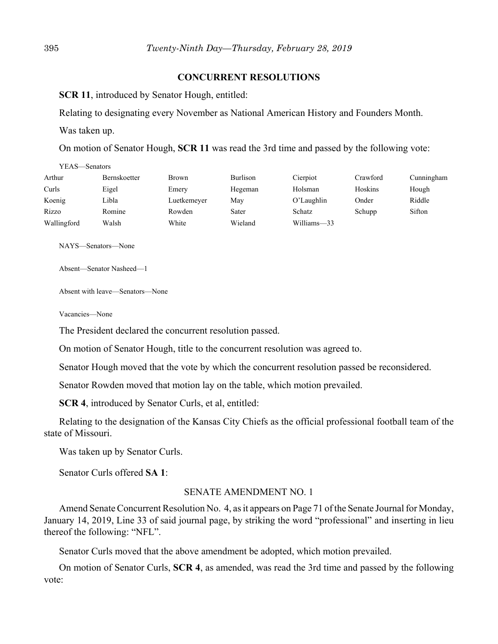## **CONCURRENT RESOLUTIONS**

**SCR 11**, introduced by Senator Hough, entitled:

Relating to designating every November as National American History and Founders Month.

Was taken up.

On motion of Senator Hough, **SCR 11** was read the 3rd time and passed by the following vote:

| YEAS—Senators       |              |                 |             |          |            |
|---------------------|--------------|-----------------|-------------|----------|------------|
| <b>Bernskoetter</b> | <b>Brown</b> | <b>Burlison</b> | Cierpiot    | Crawford | Cunningham |
| Eigel               | Emery        | Hegeman         | Holsman     | Hoskins  | Hough      |
| Libla               | Luetkemeyer  | May             | O'Laughlin  | Onder    | Riddle     |
| Romine              | Rowden       | Sater           | Schatz      | Schupp   | Sifton     |
| Walsh               | White        | Wieland         | Williams-33 |          |            |
|                     |              |                 |             |          |            |

NAYS—Senators—None

Absent—Senator Nasheed—1

Absent with leave—Senators—None

Vacancies—None

The President declared the concurrent resolution passed.

On motion of Senator Hough, title to the concurrent resolution was agreed to.

Senator Hough moved that the vote by which the concurrent resolution passed be reconsidered.

Senator Rowden moved that motion lay on the table, which motion prevailed.

**SCR 4**, introduced by Senator Curls, et al, entitled:

Relating to the designation of the Kansas City Chiefs as the official professional football team of the state of Missouri.

Was taken up by Senator Curls.

Senator Curls offered **SA 1**:

## SENATE AMENDMENT NO. 1

Amend Senate Concurrent Resolution No. 4, as it appears on Page 71 of the Senate Journal for Monday, January 14, 2019, Line 33 of said journal page, by striking the word "professional" and inserting in lieu thereof the following: "NFL".

Senator Curls moved that the above amendment be adopted, which motion prevailed.

On motion of Senator Curls, **SCR 4**, as amended, was read the 3rd time and passed by the following vote: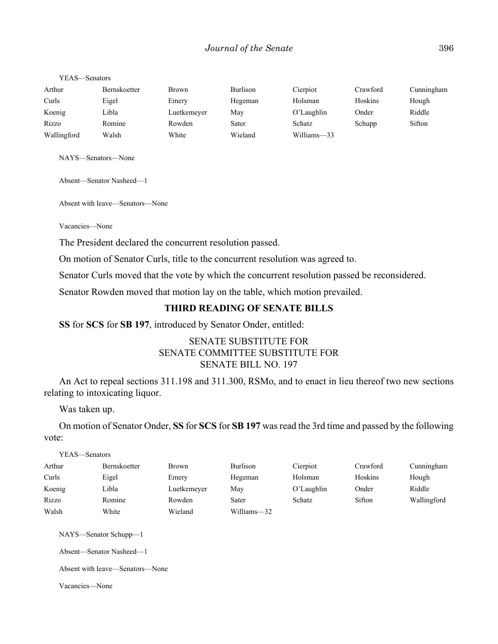#### YEAS—Senators

| Arthur      | Bernskoetter | <b>Brown</b> | <b>Burlison</b> | Cierpiot    | Crawford | Cunningham |
|-------------|--------------|--------------|-----------------|-------------|----------|------------|
| Curls       | Eigel        | Emery        | Hegeman         | Holsman     | Hoskins  | Hough      |
| Koenig      | Libla        | Luetkemeyer  | May             | O'Laughlin  | Onder    | Riddle     |
| Rizzo       | Romine       | Rowden       | Sater           | Schatz      | Schupp   | Sifton     |
| Wallingford | Walsh        | White        | Wieland         | Williams-33 |          |            |

NAYS—Senators—None

Absent—Senator Nasheed—1

Absent with leave—Senators—None

Vacancies—None

The President declared the concurrent resolution passed.

On motion of Senator Curls, title to the concurrent resolution was agreed to.

Senator Curls moved that the vote by which the concurrent resolution passed be reconsidered.

Senator Rowden moved that motion lay on the table, which motion prevailed.

## **THIRD READING OF SENATE BILLS**

**SS** for **SCS** for **SB 197**, introduced by Senator Onder, entitled:

## SENATE SUBSTITUTE FOR SENATE COMMITTEE SUBSTITUTE FOR SENATE BILL NO. 197

An Act to repeal sections 311.198 and 311.300, RSMo, and to enact in lieu thereof two new sections relating to intoxicating liquor.

Was taken up.

On motion of Senator Onder, **SS** for **SCS** for **SB 197** was read the 3rd time and passed by the following vote:

| YEAS—Senators |              |             |             |               |          |             |
|---------------|--------------|-------------|-------------|---------------|----------|-------------|
| Arthur        | Bernskoetter | Brown       | Burlison    | Cierpiot      | Crawford | Cunningham  |
| Curls         | Eigel        | Emery       | Hegeman     | Holsman       | Hoskins  | Hough       |
| Koenig        | Libla        | Luetkemeyer | May         | $O'$ Laughlin | Onder    | Riddle      |
| Rizzo         | Romine       | Rowden      | Sater       | Schatz        | Sifton   | Wallingford |
| Walsh         | White        | Wieland     | Williams-32 |               |          |             |

NAYS—Senator Schupp—1

Absent—Senator Nasheed—1

Absent with leave—Senators—None

Vacancies—None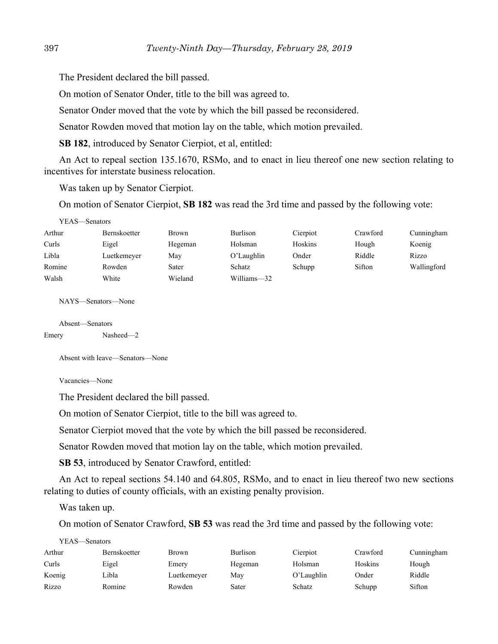The President declared the bill passed.

On motion of Senator Onder, title to the bill was agreed to.

Senator Onder moved that the vote by which the bill passed be reconsidered.

Senator Rowden moved that motion lay on the table, which motion prevailed.

**SB 182**, introduced by Senator Cierpiot, et al, entitled:

An Act to repeal section 135.1670, RSMo, and to enact in lieu thereof one new section relating to incentives for interstate business relocation.

Was taken up by Senator Cierpiot.

On motion of Senator Cierpiot, **SB 182** was read the 3rd time and passed by the following vote:

| 1 Г.А.) — ЭСПАШІ У |              |              |                 |          |          |             |
|--------------------|--------------|--------------|-----------------|----------|----------|-------------|
| Arthur             | Bernskoetter | <b>Brown</b> | <b>Burlison</b> | Cierpiot | Crawford | Cunningham  |
| Curls              | Eigel        | Hegeman      | Holsman         | Hoskins  | Hough    | Koenig      |
| Libla              | Luetkemeyer  | May          | O'Laughlin      | Onder    | Riddle   | Rizzo       |
| Romine             | Rowden       | Sater        | Schatz          | Schupp   | Sifton   | Wallingford |
| Walsh              | White        | Wieland      | Williams-32     |          |          |             |

NAYS—Senators—None

Absent—Senators Emery Nasheed—2

YEAS—Senators

Absent with leave—Senators—None

Vacancies—None

The President declared the bill passed.

On motion of Senator Cierpiot, title to the bill was agreed to.

Senator Cierpiot moved that the vote by which the bill passed be reconsidered.

Senator Rowden moved that motion lay on the table, which motion prevailed.

**SB 53**, introduced by Senator Crawford, entitled:

An Act to repeal sections 54.140 and 64.805, RSMo, and to enact in lieu thereof two new sections relating to duties of county officials, with an existing penalty provision.

Was taken up.

On motion of Senator Crawford, **SB 53** was read the 3rd time and passed by the following vote:

| YEAS—Senators |                     |             |                 |               |          |            |
|---------------|---------------------|-------------|-----------------|---------------|----------|------------|
| Arthur        | <b>Bernskoetter</b> | Brown       | <b>Burlison</b> | Cierpiot      | Crawford | Cunningham |
| Curls         | Eigel               | Emery       | Hegeman         | Holsman       | Hoskins  | Hough      |
| Koenig        | Libla               | Luetkemeyer | Mav             | $O'$ Laughlin | Onder    | Riddle     |
| Rizzo         | Romine              | Rowden      | Sater           | Schatz        | Schupp   | Sifton     |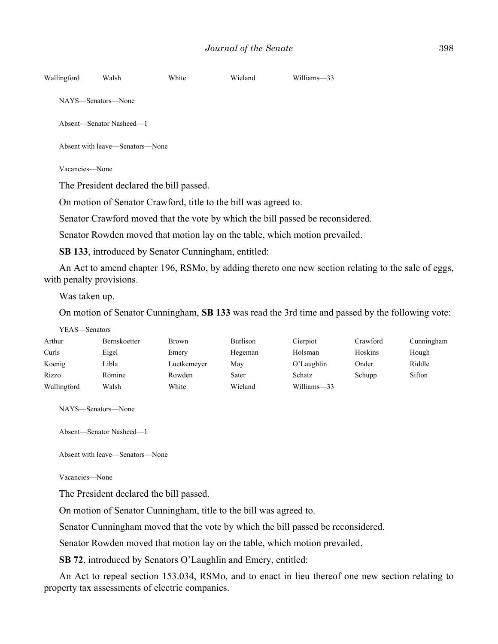Absent—Senator Nasheed—1

Absent with leave—Senators—None

Vacancies—None

The President declared the bill passed.

On motion of Senator Crawford, title to the bill was agreed to.

Senator Crawford moved that the vote by which the bill passed be reconsidered.

Senator Rowden moved that motion lay on the table, which motion prevailed.

**SB 133**, introduced by Senator Cunningham, entitled:

An Act to amend chapter 196, RSMo, by adding thereto one new section relating to the sale of eggs, with penalty provisions.

Was taken up.

On motion of Senator Cunningham, **SB 133** was read the 3rd time and passed by the following vote:

| YEAS—Senators |                     |              |                 |             |          |            |
|---------------|---------------------|--------------|-----------------|-------------|----------|------------|
| Arthur        | <b>Bernskoetter</b> | <b>Brown</b> | <b>Burlison</b> | Cierpiot    | Crawford | Cunningham |
| Curls         | Eigel               | Emery        | Hegeman         | Holsman     | Hoskins  | Hough      |
| Koenig        | Libla               | Luetkemeyer  | Mav             | O'Laughlin  | Onder    | Riddle     |
| Rizzo         | Romine              | Rowden       | Sater           | Schatz      | Schupp   | Sifton     |
| Wallingford   | Walsh               | White        | Wieland         | Williams-33 |          |            |

NAYS—Senators—None

Absent—Senator Nasheed—1

Absent with leave—Senators—None

Vacancies—None

The President declared the bill passed.

On motion of Senator Cunningham, title to the bill was agreed to.

Senator Cunningham moved that the vote by which the bill passed be reconsidered.

Senator Rowden moved that motion lay on the table, which motion prevailed.

**SB 72**, introduced by Senators O'Laughlin and Emery, entitled:

An Act to repeal section 153.034, RSMo, and to enact in lieu thereof one new section relating to property tax assessments of electric companies.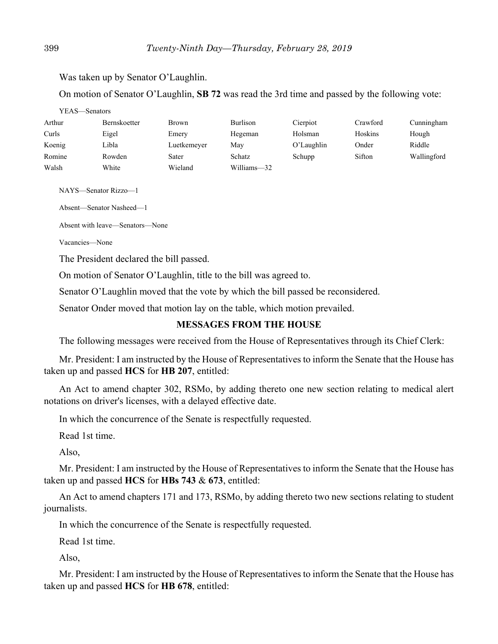Was taken up by Senator O'Laughlin.

On motion of Senator O'Laughlin, **SB 72** was read the 3rd time and passed by the following vote:

| YEAS—Senators |                     |              |                 |               |          |             |
|---------------|---------------------|--------------|-----------------|---------------|----------|-------------|
| Arthur        | <b>Bernskoetter</b> | <b>Brown</b> | <b>Burlison</b> | Cierpiot      | Crawford | Cunningham  |
| Curls         | Eigel               | Emery        | Hegeman         | Holsman       | Hoskins  | Hough       |
| Koenig        | Libla               | Luetkemeyer  | May             | $O'$ Laughlin | Onder    | Riddle      |
| Romine        | Rowden              | Sater        | Schatz          | Schupp        | Sifton   | Wallingford |
| Walsh         | White               | Wieland      | Williams-32     |               |          |             |

NAYS—Senator Rizzo—1

Absent—Senator Nasheed—1

Absent with leave—Senators—None

Vacancies—None

The President declared the bill passed.

On motion of Senator O'Laughlin, title to the bill was agreed to.

Senator O'Laughlin moved that the vote by which the bill passed be reconsidered.

Senator Onder moved that motion lay on the table, which motion prevailed.

#### **MESSAGES FROM THE HOUSE**

The following messages were received from the House of Representatives through its Chief Clerk:

Mr. President: I am instructed by the House of Representatives to inform the Senate that the House has taken up and passed **HCS** for **HB 207**, entitled:

An Act to amend chapter 302, RSMo, by adding thereto one new section relating to medical alert notations on driver's licenses, with a delayed effective date.

In which the concurrence of the Senate is respectfully requested.

Read 1st time.

Also,

Mr. President: I am instructed by the House of Representatives to inform the Senate that the House has taken up and passed **HCS** for **HBs 743** & **673**, entitled:

An Act to amend chapters 171 and 173, RSMo, by adding thereto two new sections relating to student journalists.

In which the concurrence of the Senate is respectfully requested.

Read 1st time.

Also,

Mr. President: I am instructed by the House of Representatives to inform the Senate that the House has taken up and passed **HCS** for **HB 678**, entitled: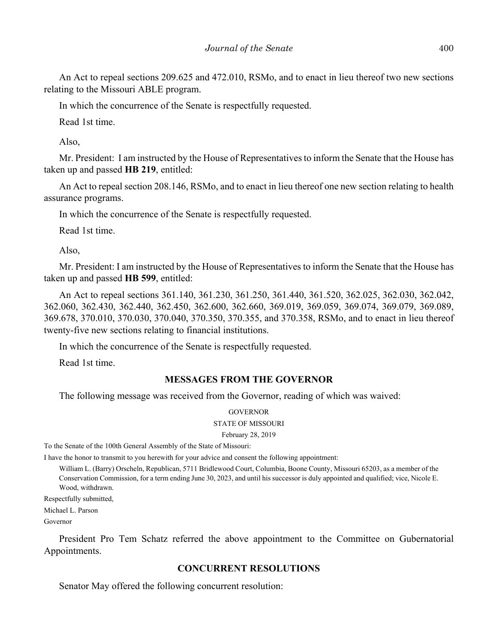An Act to repeal sections 209.625 and 472.010, RSMo, and to enact in lieu thereof two new sections relating to the Missouri ABLE program.

In which the concurrence of the Senate is respectfully requested.

Read 1st time.

Also,

Mr. President: I am instructed by the House of Representatives to inform the Senate that the House has taken up and passed **HB 219**, entitled:

An Act to repeal section 208.146, RSMo, and to enact in lieu thereof one new section relating to health assurance programs.

In which the concurrence of the Senate is respectfully requested.

Read 1st time.

Also,

Mr. President: I am instructed by the House of Representatives to inform the Senate that the House has taken up and passed **HB 599**, entitled:

An Act to repeal sections 361.140, 361.230, 361.250, 361.440, 361.520, 362.025, 362.030, 362.042, 362.060, 362.430, 362.440, 362.450, 362.600, 362.660, 369.019, 369.059, 369.074, 369.079, 369.089, 369.678, 370.010, 370.030, 370.040, 370.350, 370.355, and 370.358, RSMo, and to enact in lieu thereof twenty-five new sections relating to financial institutions.

In which the concurrence of the Senate is respectfully requested.

Read 1st time.

# **MESSAGES FROM THE GOVERNOR**

The following message was received from the Governor, reading of which was waived:

#### **GOVERNOR** STATE OF MISSOURI

February 28, 2019

To the Senate of the 100th General Assembly of the State of Missouri:

I have the honor to transmit to you herewith for your advice and consent the following appointment:

William L. (Barry) Orscheln, Republican, 5711 Bridlewood Court, Columbia, Boone County, Missouri 65203, as a member of the Conservation Commission, for a term ending June 30, 2023, and until his successor is duly appointed and qualified; vice, Nicole E. Wood, withdrawn.

Respectfully submitted,

Michael L. Parson

Governor

President Pro Tem Schatz referred the above appointment to the Committee on Gubernatorial Appointments.

# **CONCURRENT RESOLUTIONS**

Senator May offered the following concurrent resolution: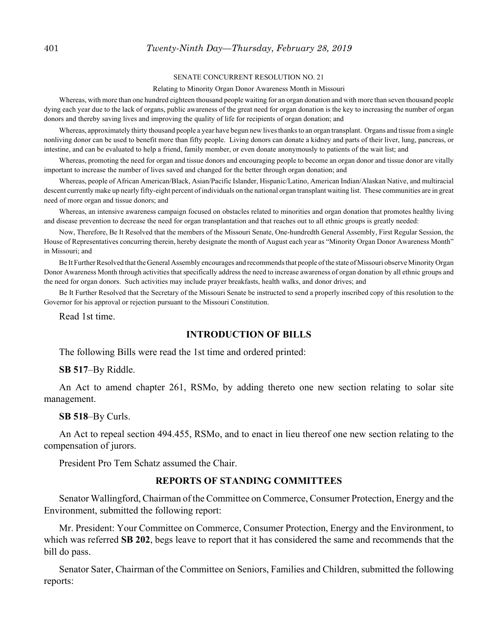#### 401 *Twenty-Ninth Day—Thursday, February 28, 2019*

#### SENATE CONCURRENT RESOLUTION NO. 21

#### Relating to Minority Organ Donor Awareness Month in Missouri

Whereas, with more than one hundred eighteen thousand people waiting for an organ donation and with more than seven thousand people dying each year due to the lack of organs, public awareness of the great need for organ donation is the key to increasing the number of organ donors and thereby saving lives and improving the quality of life for recipients of organ donation; and

Whereas, approximately thirty thousand people a year have begun new lives thanks to an organ transplant. Organs and tissue from a single nonliving donor can be used to benefit more than fifty people. Living donors can donate a kidney and parts of their liver, lung, pancreas, or intestine, and can be evaluated to help a friend, family member, or even donate anonymously to patients of the wait list; and

Whereas, promoting the need for organ and tissue donors and encouraging people to become an organ donor and tissue donor are vitally important to increase the number of lives saved and changed for the better through organ donation; and

Whereas, people of African American/Black, Asian/Pacific Islander, Hispanic/Latino, American Indian/Alaskan Native, and multiracial descent currently make up nearly fifty-eight percent of individuals on the national organ transplant waiting list. These communities are in great need of more organ and tissue donors; and

Whereas, an intensive awareness campaign focused on obstacles related to minorities and organ donation that promotes healthy living and disease prevention to decrease the need for organ transplantation and that reaches out to all ethnic groups is greatly needed:

Now, Therefore, Be It Resolved that the members of the Missouri Senate, One-hundredth General Assembly, First Regular Session, the House of Representatives concurring therein, hereby designate the month of August each year as "Minority Organ Donor Awareness Month" in Missouri; and

Be It Further Resolved that the General Assembly encourages and recommends that people of the state of Missouri observe Minority Organ Donor Awareness Month through activities that specifically address the need to increase awareness of organ donation by all ethnic groups and the need for organ donors. Such activities may include prayer breakfasts, health walks, and donor drives; and

Be It Further Resolved that the Secretary of the Missouri Senate be instructed to send a properly inscribed copy of this resolution to the Governor for his approval or rejection pursuant to the Missouri Constitution.

Read 1st time.

#### **INTRODUCTION OF BILLS**

The following Bills were read the 1st time and ordered printed:

**SB 517**–By Riddle.

An Act to amend chapter 261, RSMo, by adding thereto one new section relating to solar site management.

#### **SB 518**–By Curls.

An Act to repeal section 494.455, RSMo, and to enact in lieu thereof one new section relating to the compensation of jurors.

President Pro Tem Schatz assumed the Chair.

#### **REPORTS OF STANDING COMMITTEES**

Senator Wallingford, Chairman of the Committee on Commerce, Consumer Protection, Energy and the Environment, submitted the following report:

Mr. President: Your Committee on Commerce, Consumer Protection, Energy and the Environment, to which was referred **SB 202**, begs leave to report that it has considered the same and recommends that the bill do pass.

Senator Sater, Chairman of the Committee on Seniors, Families and Children, submitted the following reports: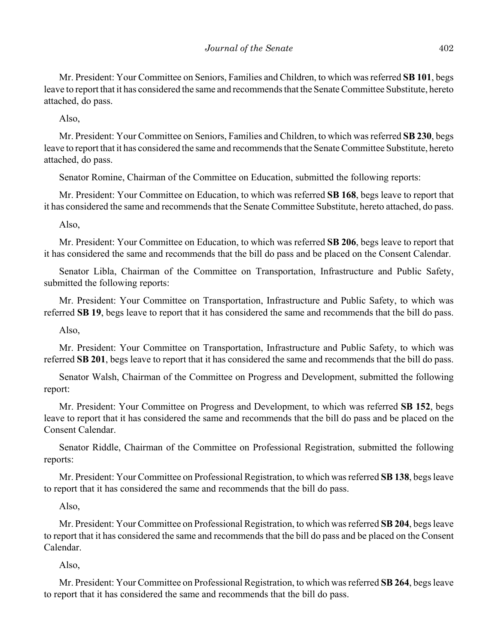Mr. President: Your Committee on Seniors, Families and Children, to which was referred **SB 101**, begs leave to report that it has considered the same and recommends that the Senate Committee Substitute, hereto attached, do pass.

Also,

Mr. President: Your Committee on Seniors, Families and Children, to which was referred **SB 230**, begs leave to report that it has considered the same and recommends that the Senate Committee Substitute, hereto attached, do pass.

Senator Romine, Chairman of the Committee on Education, submitted the following reports:

Mr. President: Your Committee on Education, to which was referred **SB 168**, begs leave to report that it has considered the same and recommends that the Senate Committee Substitute, hereto attached, do pass.

Also,

Mr. President: Your Committee on Education, to which was referred **SB 206**, begs leave to report that it has considered the same and recommends that the bill do pass and be placed on the Consent Calendar.

Senator Libla, Chairman of the Committee on Transportation, Infrastructure and Public Safety, submitted the following reports:

Mr. President: Your Committee on Transportation, Infrastructure and Public Safety, to which was referred **SB 19**, begs leave to report that it has considered the same and recommends that the bill do pass.

Also,

Mr. President: Your Committee on Transportation, Infrastructure and Public Safety, to which was referred **SB 201**, begs leave to report that it has considered the same and recommends that the bill do pass.

Senator Walsh, Chairman of the Committee on Progress and Development, submitted the following report:

Mr. President: Your Committee on Progress and Development, to which was referred **SB 152**, begs leave to report that it has considered the same and recommends that the bill do pass and be placed on the Consent Calendar.

Senator Riddle, Chairman of the Committee on Professional Registration, submitted the following reports:

Mr. President: Your Committee on Professional Registration, to which was referred **SB 138**, begs leave to report that it has considered the same and recommends that the bill do pass.

Also,

Mr. President: Your Committee on Professional Registration, to which was referred **SB 204**, begs leave to report that it has considered the same and recommends that the bill do pass and be placed on the Consent Calendar.

Also,

Mr. President: Your Committee on Professional Registration, to which was referred **SB 264**, begs leave to report that it has considered the same and recommends that the bill do pass.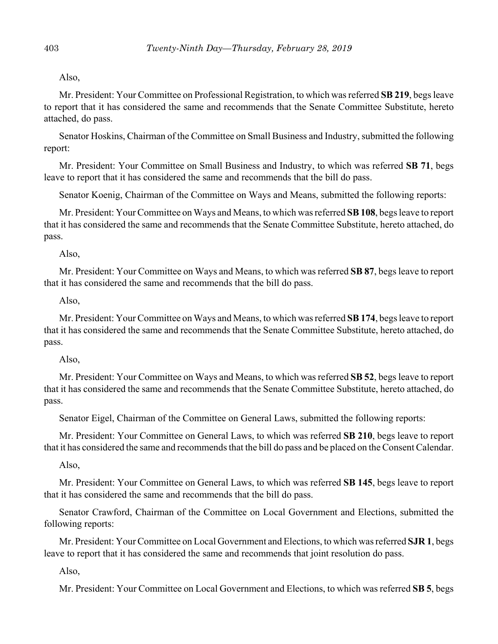Also,

Mr. President: Your Committee on Professional Registration, to which was referred **SB 219**, begs leave to report that it has considered the same and recommends that the Senate Committee Substitute, hereto attached, do pass.

Senator Hoskins, Chairman of the Committee on Small Business and Industry, submitted the following report:

Mr. President: Your Committee on Small Business and Industry, to which was referred **SB 71**, begs leave to report that it has considered the same and recommends that the bill do pass.

Senator Koenig, Chairman of the Committee on Ways and Means, submitted the following reports:

Mr. President: Your Committee on Ways and Means, to which was referred **SB 108**, begs leave to report that it has considered the same and recommends that the Senate Committee Substitute, hereto attached, do pass.

Also,

Mr. President: Your Committee on Ways and Means, to which was referred **SB 87**, begs leave to report that it has considered the same and recommends that the bill do pass.

Also,

Mr. President: Your Committee on Ways and Means, to which was referred **SB 174**, begs leave to report that it has considered the same and recommends that the Senate Committee Substitute, hereto attached, do pass.

#### Also,

Mr. President: Your Committee on Ways and Means, to which was referred **SB 52**, begs leave to report that it has considered the same and recommends that the Senate Committee Substitute, hereto attached, do pass.

Senator Eigel, Chairman of the Committee on General Laws, submitted the following reports:

Mr. President: Your Committee on General Laws, to which was referred **SB 210**, begs leave to report that it has considered the same and recommends that the bill do pass and be placed on the Consent Calendar.

Also,

Mr. President: Your Committee on General Laws, to which was referred **SB 145**, begs leave to report that it has considered the same and recommends that the bill do pass.

Senator Crawford, Chairman of the Committee on Local Government and Elections, submitted the following reports:

Mr. President: Your Committee on Local Government and Elections, to which was referred **SJR 1**, begs leave to report that it has considered the same and recommends that joint resolution do pass.

Also,

Mr. President: Your Committee on Local Government and Elections, to which was referred **SB 5**, begs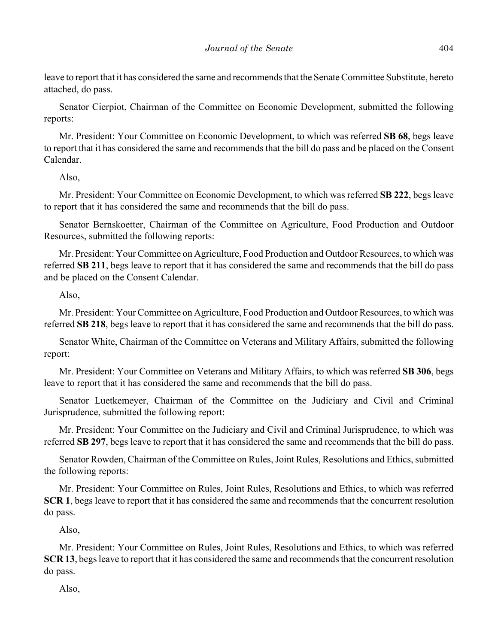leave to report that it has considered the same and recommends that the Senate Committee Substitute, hereto attached, do pass.

Senator Cierpiot, Chairman of the Committee on Economic Development, submitted the following reports:

Mr. President: Your Committee on Economic Development, to which was referred **SB 68**, begs leave to report that it has considered the same and recommends that the bill do pass and be placed on the Consent Calendar.

Also,

Mr. President: Your Committee on Economic Development, to which was referred **SB 222**, begs leave to report that it has considered the same and recommends that the bill do pass.

Senator Bernskoetter, Chairman of the Committee on Agriculture, Food Production and Outdoor Resources, submitted the following reports:

Mr. President: Your Committee on Agriculture, Food Production and Outdoor Resources, to which was referred **SB 211**, begs leave to report that it has considered the same and recommends that the bill do pass and be placed on the Consent Calendar.

Also,

Mr. President: Your Committee on Agriculture, Food Production and Outdoor Resources, to which was referred **SB 218**, begs leave to report that it has considered the same and recommends that the bill do pass.

Senator White, Chairman of the Committee on Veterans and Military Affairs, submitted the following report:

Mr. President: Your Committee on Veterans and Military Affairs, to which was referred **SB 306**, begs leave to report that it has considered the same and recommends that the bill do pass.

Senator Luetkemeyer, Chairman of the Committee on the Judiciary and Civil and Criminal Jurisprudence, submitted the following report:

Mr. President: Your Committee on the Judiciary and Civil and Criminal Jurisprudence, to which was referred **SB 297**, begs leave to report that it has considered the same and recommends that the bill do pass.

Senator Rowden, Chairman of the Committee on Rules, Joint Rules, Resolutions and Ethics, submitted the following reports:

Mr. President: Your Committee on Rules, Joint Rules, Resolutions and Ethics, to which was referred **SCR 1**, begs leave to report that it has considered the same and recommends that the concurrent resolution do pass.

Also,

Mr. President: Your Committee on Rules, Joint Rules, Resolutions and Ethics, to which was referred **SCR 13**, begs leave to report that it has considered the same and recommends that the concurrent resolution do pass.

Also,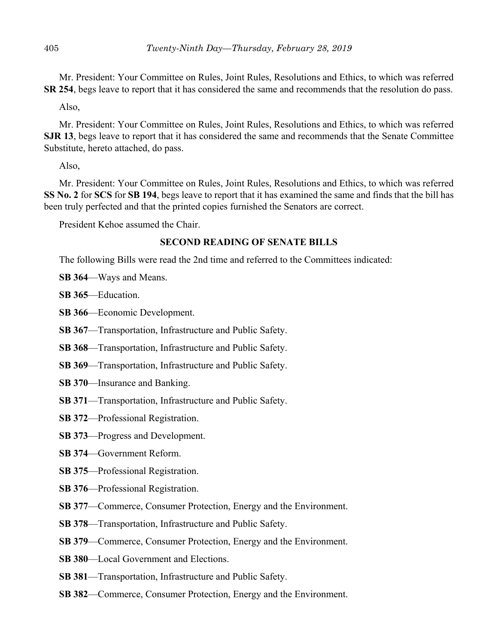Mr. President: Your Committee on Rules, Joint Rules, Resolutions and Ethics, to which was referred **SR 254**, begs leave to report that it has considered the same and recommends that the resolution do pass.

Also,

Mr. President: Your Committee on Rules, Joint Rules, Resolutions and Ethics, to which was referred **SJR 13**, begs leave to report that it has considered the same and recommends that the Senate Committee Substitute, hereto attached, do pass.

Also,

Mr. President: Your Committee on Rules, Joint Rules, Resolutions and Ethics, to which was referred **SS No. 2** for **SCS** for **SB 194**, begs leave to report that it has examined the same and finds that the bill has been truly perfected and that the printed copies furnished the Senators are correct.

President Kehoe assumed the Chair.

## **SECOND READING OF SENATE BILLS**

The following Bills were read the 2nd time and referred to the Committees indicated:

**SB 364**––Ways and Means.

**SB 365**––Education.

**SB 366**––Economic Development.

**SB 367**––Transportation, Infrastructure and Public Safety.

**SB 368**––Transportation, Infrastructure and Public Safety.

**SB 369**––Transportation, Infrastructure and Public Safety.

- **SB 370**––Insurance and Banking.
- **SB 371**––Transportation, Infrastructure and Public Safety.
- **SB 372**––Professional Registration.
- **SB 373**––Progress and Development.
- **SB 374**––Government Reform.
- **SB 375**––Professional Registration.
- **SB 376**––Professional Registration.
- **SB 377—Commerce, Consumer Protection, Energy and the Environment.**
- **SB 378**––Transportation, Infrastructure and Public Safety.
- **SB 379—Commerce, Consumer Protection, Energy and the Environment.**
- **SB 380**––Local Government and Elections.
- **SB 381**––Transportation, Infrastructure and Public Safety.
- **SB 382**––Commerce, Consumer Protection, Energy and the Environment.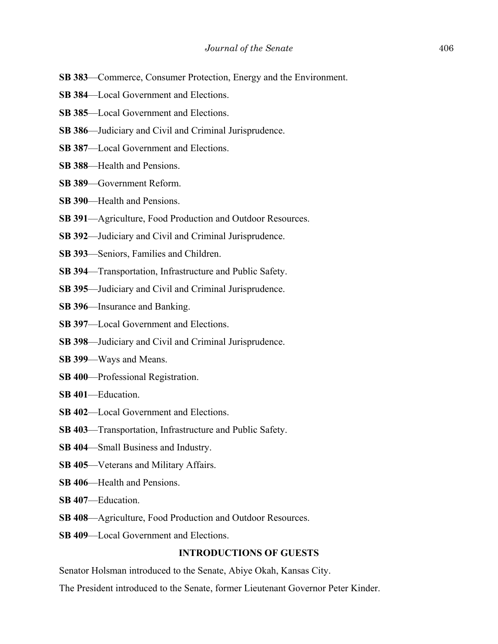- **SB 383**––Commerce, Consumer Protection, Energy and the Environment.
- **SB 384**––Local Government and Elections.
- **SB 385**––Local Government and Elections.
- **SB 386**––Judiciary and Civil and Criminal Jurisprudence.
- **SB 387**––Local Government and Elections.
- **SB 388**––Health and Pensions.
- **SB 389**––Government Reform.
- **SB 390**––Health and Pensions.
- **SB 391**––Agriculture, Food Production and Outdoor Resources.
- **SB 392**––Judiciary and Civil and Criminal Jurisprudence.
- **SB 393**––Seniors, Families and Children.
- **SB 394**––Transportation, Infrastructure and Public Safety.
- **SB 395**––Judiciary and Civil and Criminal Jurisprudence.
- **SB 396**––Insurance and Banking.
- **SB 397**––Local Government and Elections.
- **SB 398**––Judiciary and Civil and Criminal Jurisprudence.
- **SB 399**––Ways and Means.
- **SB 400**––Professional Registration.
- **SB 401**––Education.
- **SB 402**––Local Government and Elections.
- **SB 403**––Transportation, Infrastructure and Public Safety.
- **SB 404**––Small Business and Industry.
- **SB 405**––Veterans and Military Affairs.
- **SB 406—Health and Pensions.**
- **SB 407**––Education.
- **SB 408**––Agriculture, Food Production and Outdoor Resources.
- **SB 409—Local Government and Elections.**

#### **INTRODUCTIONS OF GUESTS**

Senator Holsman introduced to the Senate, Abiye Okah, Kansas City.

The President introduced to the Senate, former Lieutenant Governor Peter Kinder.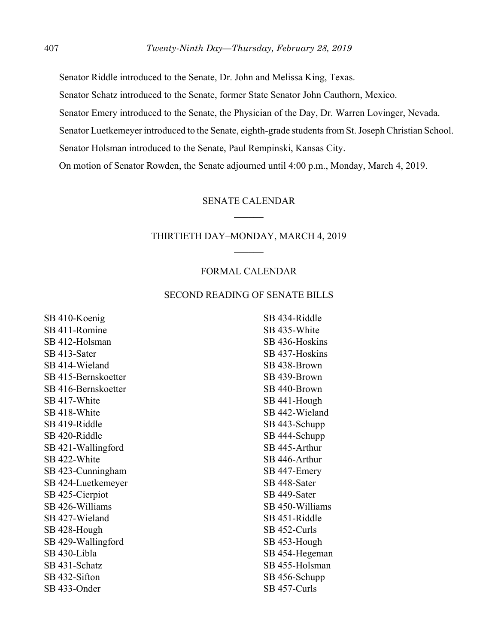Senator Riddle introduced to the Senate, Dr. John and Melissa King, Texas.

Senator Schatz introduced to the Senate, former State Senator John Cauthorn, Mexico.

Senator Emery introduced to the Senate, the Physician of the Day, Dr. Warren Lovinger, Nevada.

Senator Luetkemeyer introduced to the Senate, eighth-grade students from St. Joseph Christian School.

Senator Holsman introduced to the Senate, Paul Rempinski, Kansas City.

On motion of Senator Rowden, the Senate adjourned until 4:00 p.m., Monday, March 4, 2019.

#### SENATE CALENDAR

#### THIRTIETH DAY–MONDAY, MARCH 4, 2019

#### FORMAL CALENDAR

## SECOND READING OF SENATE BILLS

SB 410-Koenig SB 411-Romine SB 412-Holsman SB 413-Sater SB 414-Wieland SB 415-Bernskoetter SB 416-Bernskoetter SB 417-White SB 418-White SB 419-Riddle SB 420-Riddle SB 421-Wallingford SB 422-White SB 423-Cunningham SB 424-Luetkemeyer SB 425-Cierpiot SB 426-Williams SB 427-Wieland SB 428-Hough SB 429-Wallingford SB 430-Libla SB 431-Schatz SB 432-Sifton SB 433-Onder

SB 434-Riddle SB 435-White SB 436-Hoskins SB 437-Hoskins SB 438-Brown SB 439-Brown SB 440-Brown SB 441-Hough SB 442-Wieland SB 443-Schupp SB 444-Schupp SB 445-Arthur SB 446-Arthur SB 447-Emery SB 448-Sater SB 449-Sater SB 450-Williams SB 451-Riddle SB 452-Curls SB 453-Hough SB 454-Hegeman SB 455-Holsman SB 456-Schupp SB 457-Curls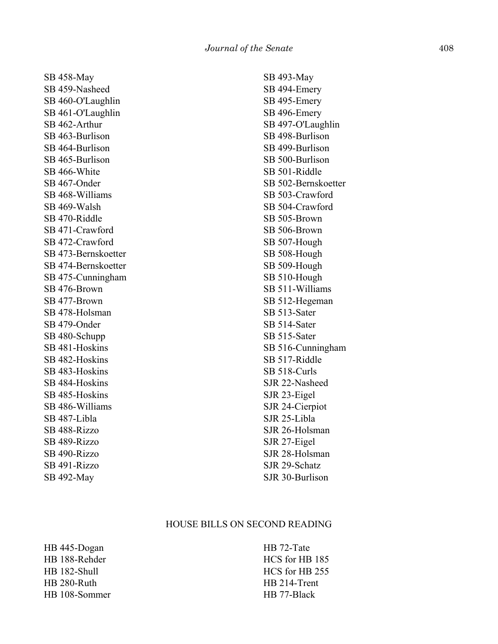SB 458-May SB 459-Nasheed SB 460-O'Laughlin SB 461-O'Laughlin SB 462-Arthur SB 463-Burlison SB 464-Burlison SB 465-Burlison SB 466-White SB 467-Onder SB 468-Williams SB 469-Walsh SB 470-Riddle SB 471-Crawford SB 472-Crawford SB 473-Bernskoetter SB 474-Bernskoetter SB 475-Cunningham SB 476-Brown SB 477-Brown SB 478-Holsman SB 479-Onder SB 480-Schupp SB 481-Hoskins SB 482-Hoskins SB 483-Hoskins SB 484-Hoskins SB 485-Hoskins SB 486-Williams SB 487-Libla SB 488-Rizzo SB 489-Rizzo SB 490-Rizzo SB 491-Rizzo SB 492-May

SB 493-May SB 494-Emery SB 495-Emery SB 496-Emery SB 497-O'Laughlin SB 498-Burlison SB 499-Burlison SB 500-Burlison SB 501-Riddle SB 502-Bernskoetter SB 503-Crawford SB 504-Crawford SB 505-Brown SB 506-Brown SB 507-Hough SB 508-Hough SB 509-Hough SB 510-Hough SB 511-Williams SB 512-Hegeman SB 513-Sater SB 514-Sater SB 515-Sater SB 516-Cunningham SB 517-Riddle SB 518-Curls SJR 22-Nasheed SJR 23-Eigel SJR 24-Cierpiot SJR 25-Libla SJR 26-Holsman SJR 27-Eigel SJR 28-Holsman SJR 29-Schatz SJR 30-Burlison

#### HOUSE BILLS ON SECOND READING

HB 445-Dogan HB 188-Rehder HB 182-Shull HB 280-Ruth HB 108-Sommer HB 72-Tate HCS for HB 185 HCS for HB 255 HB 214-Trent HB 77-Black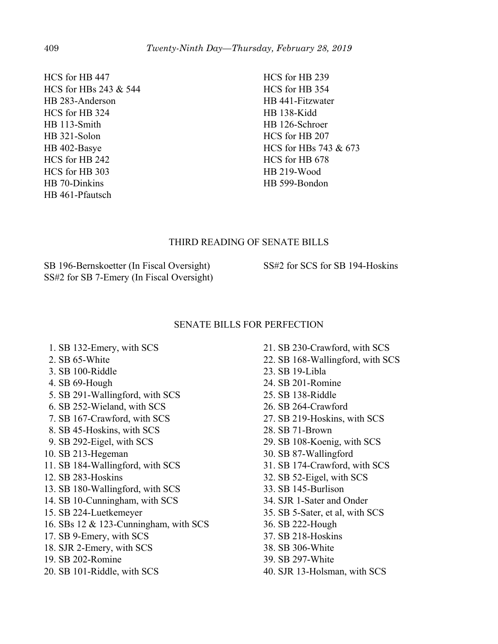HCS for HB 447 HCS for HBs 243 & 544 HB 283-Anderson HCS for HB 324 HB 113-Smith HB 321-Solon HB 402-Basye HCS for HB 242 HCS for HB 303 HB 70-Dinkins HB 461-Pfautsch

HCS for HB 239 HCS for HB 354 HB 441-Fitzwater HB 138-Kidd HB 126-Schroer HCS for HB 207 HCS for HBs 743 & 673 HCS for HB 678 HB 219-Wood HB 599-Bondon

## THIRD READING OF SENATE BILLS

SB 196-Bernskoetter (In Fiscal Oversight) SS#2 for SB 7-Emery (In Fiscal Oversight) SS#2 for SCS for SB 194-Hoskins

## SENATE BILLS FOR PERFECTION

- 1. SB 132-Emery, with SCS
- 2. SB 65-White
- 3. SB 100-Riddle
- 4. SB 69-Hough
- 5. SB 291-Wallingford, with SCS
- 6. SB 252-Wieland, with SCS
- 7. SB 167-Crawford, with SCS
- 8. SB 45-Hoskins, with SCS
- 9. SB 292-Eigel, with SCS
- 10. SB 213-Hegeman
- 11. SB 184-Wallingford, with SCS
- 12. SB 283-Hoskins
- 13. SB 180-Wallingford, with SCS
- 14. SB 10-Cunningham, with SCS
- 15. SB 224-Luetkemeyer
- 16. SBs 12 & 123-Cunningham, with SCS
- 17. SB 9-Emery, with SCS
- 18. SJR 2-Emery, with SCS
- 19. SB 202-Romine
- 20. SB 101-Riddle, with SCS
- 21. SB 230-Crawford, with SCS
- 22. SB 168-Wallingford, with SCS
- 23. SB 19-Libla
- 24. SB 201-Romine
- 25. SB 138-Riddle
- 26. SB 264-Crawford
- 27. SB 219-Hoskins, with SCS
- 28. SB 71-Brown
- 29. SB 108-Koenig, with SCS
- 30. SB 87-Wallingford
- 31. SB 174-Crawford, with SCS
- 32. SB 52-Eigel, with SCS
- 33. SB 145-Burlison
- 34. SJR 1-Sater and Onder
- 35. SB 5-Sater, et al, with SCS
- 36. SB 222-Hough
- 37. SB 218-Hoskins
- 38. SB 306-White
- 39. SB 297-White
- 40. SJR 13-Holsman, with SCS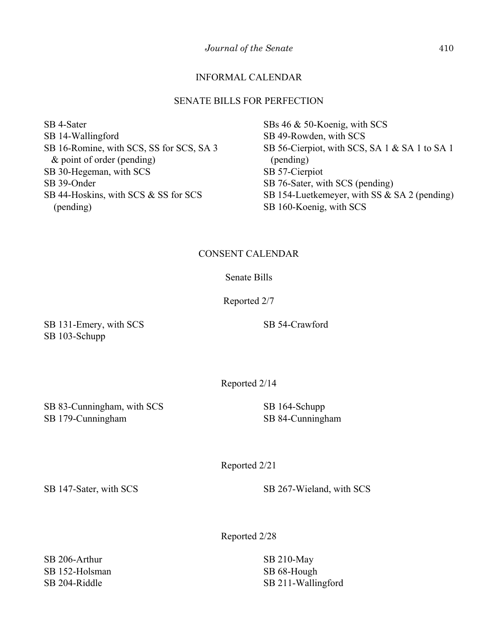## INFORMAL CALENDAR

## SENATE BILLS FOR PERFECTION

SB 4-Sater SB 14-Wallingford SB 16-Romine, with SCS, SS for SCS, SA 3 & point of order (pending) SB 30-Hegeman, with SCS SB 39-Onder SB 44-Hoskins, with SCS & SS for SCS (pending)

SBs 46 & 50-Koenig, with SCS SB 49-Rowden, with SCS SB 56-Cierpiot, with SCS, SA 1 & SA 1 to SA 1 (pending) SB 57-Cierpiot SB 76-Sater, with SCS (pending) SB 154-Luetkemeyer, with SS & SA 2 (pending) SB 160-Koenig, with SCS

## CONSENT CALENDAR

## Senate Bills

Reported 2/7

SB 131-Emery, with SCS SB 103-Schupp

SB 54-Crawford

Reported 2/14

SB 83-Cunningham, with SCS SB 179-Cunningham

SB 164-Schupp SB 84-Cunningham

Reported 2/21

SB 147-Sater, with SCS SB 267-Wieland, with SCS

Reported 2/28

SB 206-Arthur SB 152-Holsman SB 204-Riddle

SB 210-May SB 68-Hough SB 211-Wallingford